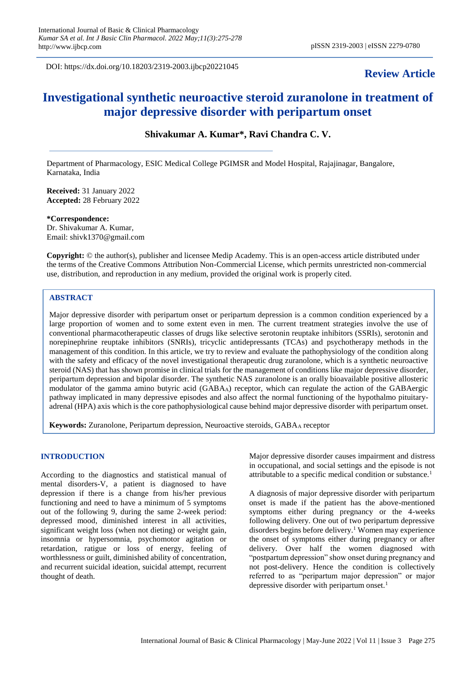DOI: https://dx.doi.org/10.18203/2319-2003.ijbcp20221045

# **Review Article**

# **Investigational synthetic neuroactive steroid zuranolone in treatment of major depressive disorder with peripartum onset**

**Shivakumar A. Kumar\*, Ravi Chandra C. V.**

Department of Pharmacology, ESIC Medical College PGIMSR and Model Hospital, Rajajinagar, Bangalore, Karnataka, India

**Received:** 31 January 2022 **Accepted:** 28 February 2022

**\*Correspondence:** Dr. Shivakumar A. Kumar, Email: shivk1370@gmail.com

**Copyright:** © the author(s), publisher and licensee Medip Academy. This is an open-access article distributed under the terms of the Creative Commons Attribution Non-Commercial License, which permits unrestricted non-commercial use, distribution, and reproduction in any medium, provided the original work is properly cited.

# **ABSTRACT**

Major depressive disorder with peripartum onset or peripartum depression is a common condition experienced by a large proportion of women and to some extent even in men. The current treatment strategies involve the use of conventional pharmacotherapeutic classes of drugs like selective serotonin reuptake inhibitors (SSRIs), serotonin and norepinephrine reuptake inhibitors (SNRIs), tricyclic antidepressants (TCAs) and psychotherapy methods in the management of this condition. In this article, we try to review and evaluate the pathophysiology of the condition along with the safety and efficacy of the novel investigational therapeutic drug zuranolone, which is a synthetic neuroactive steroid (NAS) that has shown promise in clinical trials for the management of conditions like major depressive disorder, peripartum depression and bipolar disorder. The synthetic NAS zuranolone is an orally bioavailable positive allosteric modulator of the gamma amino butyric acid  $(GABA_A)$  receptor, which can regulate the action of the GABAergic pathway implicated in many depressive episodes and also affect the normal functioning of the hypothalmo pituitaryadrenal (HPA) axis which is the core pathophysiological cause behind major depressive disorder with peripartum onset.

**Keywords:** Zuranolone, Peripartum depression, Neuroactive steroids, GABA<sub>A</sub> receptor

# **INTRODUCTION**

According to the diagnostics and statistical manual of mental disorders-V, a patient is diagnosed to have depression if there is a change from his/her previous functioning and need to have a minimum of 5 symptoms out of the following 9, during the same 2-week period: depressed mood, diminished interest in all activities, significant weight loss (when not dieting) or weight gain, insomnia or hypersomnia, psychomotor agitation or retardation, ratigue or loss of energy, feeling of worthlessness or guilt, diminished ability of concentration, and recurrent suicidal ideation, suicidal attempt, recurrent thought of death.

Major depressive disorder causes impairment and distress in occupational, and social settings and the episode is not attributable to a specific medical condition or substance.<sup>1</sup>

A diagnosis of major depressive disorder with peripartum onset is made if the patient has the above-mentioned symptoms either during pregnancy or the 4-weeks following delivery. One out of two peripartum depressive disorders begins before delivery.<sup>1</sup> Women may experience the onset of symptoms either during pregnancy or after delivery. Over half the women diagnosed with "postpartum depression" show onset during pregnancy and not post-delivery. Hence the condition is collectively referred to as "peripartum major depression" or major depressive disorder with peripartum onset.<sup>1</sup>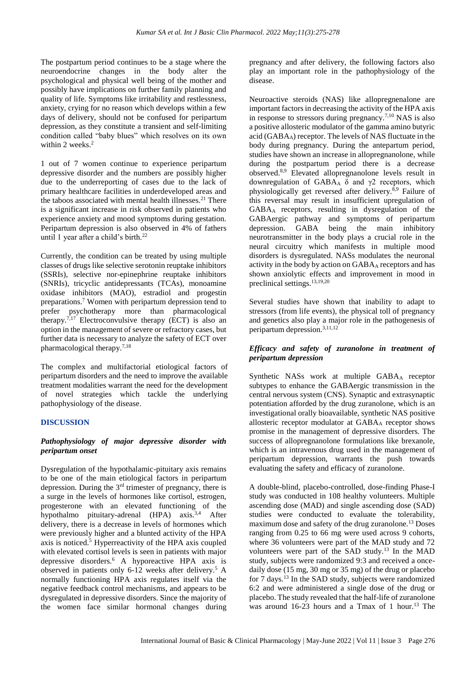The postpartum period continues to be a stage where the neuroendocrine changes in the body alter the psychological and physical well being of the mother and possibly have implications on further family planning and quality of life. Symptoms like irritability and restlessness, anxiety, crying for no reason which develops within a few days of delivery, should not be confused for peripartum depression, as they constitute a transient and self-limiting condition called "baby blues" which resolves on its own within 2 weeks.<sup>2</sup>

1 out of 7 women continue to experience peripartum depressive disorder and the numbers are possibly higher due to the underreporting of cases due to the lack of primary healthcare facilities in underdeveloped areas and the taboos associated with mental health illnesses. $21$  There is a significant increase in risk observed in patients who experience anxiety and mood symptoms during gestation. Peripartum depression is also observed in 4% of fathers until 1 year after a child's birth.<sup>22</sup>

Currently, the condition can be treated by using multiple classes of drugs like selective serotonin reuptake inhibitors (SSRIs), selective nor-epinephrine reuptake inhibitors (SNRIs), tricyclic antidepressants (TCAs), monoamine oxidase inhibitors (MAO), estradiol and progestin preparations.<sup>7</sup> Women with peripartum depression tend to prefer psychotherapy more than pharmacological therapy.<sup>7,17</sup> Electroconvulsive therapy (ECT) is also an option in the management of severe or refractory cases, but further data is necessary to analyze the safety of ECT over pharmacological therapy.7,18

The complex and multifactorial etiological factors of peripartum disorders and the need to improve the available treatment modalities warrant the need for the development of novel strategies which tackle the underlying pathophysiology of the disease.

#### **DISCUSSION**

# *Pathophysiology of major depressive disorder with peripartum onset*

Dysregulation of the hypothalamic-pituitary axis remains to be one of the main etiological factors in peripartum depression. During the  $3<sup>rd</sup>$  trimester of pregnancy, there is a surge in the levels of hormones like cortisol, estrogen, progesterone with an elevated functioning of the hypothalmo pituitary-adrenal  $(HPA)$  axis.<sup>3,4</sup> After delivery, there is a decrease in levels of hormones which were previously higher and a blunted activity of the HPA axis is noticed.<sup>5</sup> Hyperreactivity of the HPA axis coupled with elevated cortisol levels is seen in patients with major depressive disorders.<sup>6</sup> A hyporeactive HPA axis is observed in patients only 6-12 weeks after delivery.<sup>5</sup> A normally functioning HPA axis regulates itself via the negative feedback control mechanisms, and appears to be dysregulated in depressive disorders. Since the majority of the women face similar hormonal changes during pregnancy and after delivery, the following factors also play an important role in the pathophysiology of the disease.

Neuroactive steroids (NAS) like allopregnenalone are important factors in decreasing the activity of the HPA axis in response to stressors during pregnancy.7,10 NAS is also a positive allosteric modulator of the gamma amino butyric acid (GABAA) receptor. The levels of NAS fluctuate in the body during pregnancy. During the antepartum period, studies have shown an increase in allopregnanolone, while during the postpartum period there is a decrease observed.8,9 Elevated allopregnanolone levels result in downregulation of GABA<sub>A</sub>  $\delta$  and γ2 receptors, which physiologically get reversed after delivery.8,9 Failure of this reversal may result in insufficient upregulation of GABA<sup>A</sup> receptors, resulting in dysregulation of the GABAergic pathway and symptoms of peripartum depression. GABA being the main inhibitory neurotransmitter in the body plays a crucial role in the neural circuitry which manifests in multiple mood disorders is dysregulated. NASs modulates the neuronal activity in the body by action on  $GABA_A$  receptors and has shown anxiolytic effects and improvement in mood in preclinical settings.13,19,20

Several studies have shown that inability to adapt to stressors (from life events), the physical toll of pregnancy and genetics also play a major role in the pathogenesis of peripartum depression.3,11,12

# *Efficacy and safety of zuranolone in treatment of peripartum depression*

Synthetic NASs work at multiple GABA<sup>A</sup> receptor subtypes to enhance the GABAergic transmission in the central nervous system (CNS). Synaptic and extrasynaptic potentiation afforded by the drug zuranolone, which is an investigational orally bioavailable, synthetic NAS positive allosteric receptor modulator at GABAA receptor shows promise in the management of depressive disorders. The success of allopregnanolone formulations like brexanole, which is an intravenous drug used in the management of peripartum depression, warrants the push towards evaluating the safety and efficacy of zuranolone.

A double-blind, placebo-controlled, dose-finding Phase-I study was conducted in 108 healthy volunteers. Multiple ascending dose (MAD) and single ascending dose (SAD) studies were conducted to evaluate the tolerability, maximum dose and safety of the drug zuranolone.<sup>13</sup> Doses ranging from 0.25 to 66 mg were used across 9 cohorts, where 36 volunteers were part of the MAD study and 72 volunteers were part of the SAD study.<sup>13</sup> In the MAD study, subjects were randomized 9:3 and received a oncedaily dose (15 mg, 30 mg or 35 mg) of the drug or placebo for 7 days.<sup>13</sup> In the SAD study, subjects were randomized 6:2 and were administered a single dose of the drug or placebo. The study revealed that the half-life of zuranolone was around 16-23 hours and a Tmax of 1 hour.<sup>13</sup> The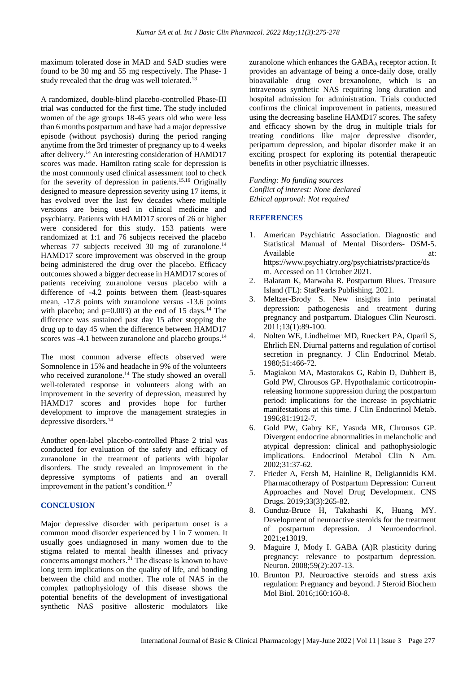maximum tolerated dose in MAD and SAD studies were found to be 30 mg and 55 mg respectively. The Phase- I study revealed that the drug was well tolerated.<sup>13</sup>

A randomized, double-blind placebo-controlled Phase-III trial was conducted for the first time. The study included women of the age groups 18-45 years old who were less than 6 months postpartum and have had a major depressive episode (without psychosis) during the period ranging anytime from the 3rd trimester of pregnancy up to 4 weeks after delivery.<sup>14</sup> An interesting consideration of HAMD17 scores was made. Hamilton rating scale for depression is the most commonly used clinical assessment tool to check for the severity of depression in patients.15,16 Originally designed to measure depression severity using 17 items, it has evolved over the last few decades where multiple versions are being used in clinical medicine and psychiatry. Patients with HAMD17 scores of 26 or higher were considered for this study. 153 patients were randomized at 1:1 and 76 subjects received the placebo whereas 77 subjects received 30 mg of zuranolone.<sup>14</sup> HAMD17 score improvement was observed in the group being administered the drug over the placebo. Efficacy outcomes showed a bigger decrease in HAMD17 scores of patients receiving zuranolone versus placebo with a difference of -4.2 points between them (least-squares mean, -17.8 points with zuranolone versus -13.6 points with placebo; and  $p=0.003$ ) at the end of 15 days.<sup>14</sup> The difference was sustained past day 15 after stopping the drug up to day 45 when the difference between HAMD17 scores was -4.1 between zuranolone and placebo groups.<sup>14</sup>

The most common adverse effects observed were Somnolence in 15% and headache in 9% of the volunteers who received zuranolone.<sup>14</sup> The study showed an overall well-tolerated response in volunteers along with an improvement in the severity of depression, measured by HAMD17 scores and provides hope for further development to improve the management strategies in depressive disorders.<sup>14</sup>

Another open-label placebo-controlled Phase 2 trial was conducted for evaluation of the safety and efficacy of zuranolone in the treatment of patients with bipolar disorders. The study revealed an improvement in the depressive symptoms of patients and an overall improvement in the patient's condition.<sup>17</sup>

# **CONCLUSION**

Major depressive disorder with peripartum onset is a common mood disorder experienced by 1 in 7 women. It usually goes undiagnosed in many women due to the stigma related to mental health illnesses and privacy concerns amongst mothers.<sup>21</sup> The disease is known to have long term implications on the quality of life, and bonding between the child and mother. The role of NAS in the complex pathophysiology of this disease shows the potential benefits of the development of investigational synthetic NAS positive allosteric modulators like

zuranolone which enhances the GABAA receptor action. It provides an advantage of being a once-daily dose, orally bioavailable drug over brexanolone, which is an intravenous synthetic NAS requiring long duration and hospital admission for administration. Trials conducted confirms the clinical improvement in patients, measured using the decreasing baseline HAMD17 scores. The safety and efficacy shown by the drug in multiple trials for treating conditions like major depressive disorder, peripartum depression, and bipolar disorder make it an exciting prospect for exploring its potential therapeutic benefits in other psychiatric illnesses.

*Funding: No funding sources Conflict of interest: None declared Ethical approval: Not required*

# **REFERENCES**

- 1. American Psychiatric Association. Diagnostic and Statistical Manual of Mental Disorders- DSM-5. Available at: at: https://www.psychiatry.org/psychiatrists/practice/ds m. Accessed on 11 October 2021.
- 2. Balaram K, Marwaha R. Postpartum Blues. Treasure Island (FL): StatPearls Publishing. 2021.
- 3. Meltzer-Brody S. New insights into perinatal depression: pathogenesis and treatment during pregnancy and postpartum. Dialogues Clin Neurosci. 2011;13(1):89-100.
- 4. Nolten WE, Lindheimer MD, Rueckert PA, Oparil S, Ehrlich EN. Diurnal patterns and regulation of cortisol secretion in pregnancy. J Clin Endocrinol Metab. 1980;51:466-72.
- 5. Magiakou MA, Mastorakos G, Rabin D, Dubbert B, Gold PW, Chrousos GP. Hypothalamic corticotropinreleasing hormone suppression during the postpartum period: implications for the increase in psychiatric manifestations at this time. J Clin Endocrinol Metab. 1996;81:1912-7.
- 6. Gold PW, Gabry KE, Yasuda MR, Chrousos GP. Divergent endocrine abnormalities in melancholic and atypical depression: clinical and pathophysiologic implications. Endocrinol Metabol Clin N Am. 2002;31:37-62.
- 7. Frieder A, Fersh M, Hainline R, Deligiannidis KM. Pharmacotherapy of Postpartum Depression: Current Approaches and Novel Drug Development. CNS Drugs. 2019;33(3):265-82.
- 8. Gunduz-Bruce H, Takahashi K, Huang MY. Development of neuroactive steroids for the treatment of postpartum depression. J Neuroendocrinol. 2021;e13019.
- 9. Maguire J, Mody I. GABA (A)R plasticity during pregnancy: relevance to postpartum depression. Neuron. 2008;59(2):207-13.
- 10. Brunton PJ. Neuroactive steroids and stress axis regulation: Pregnancy and beyond. J Steroid Biochem Mol Biol. 2016;160:160-8.